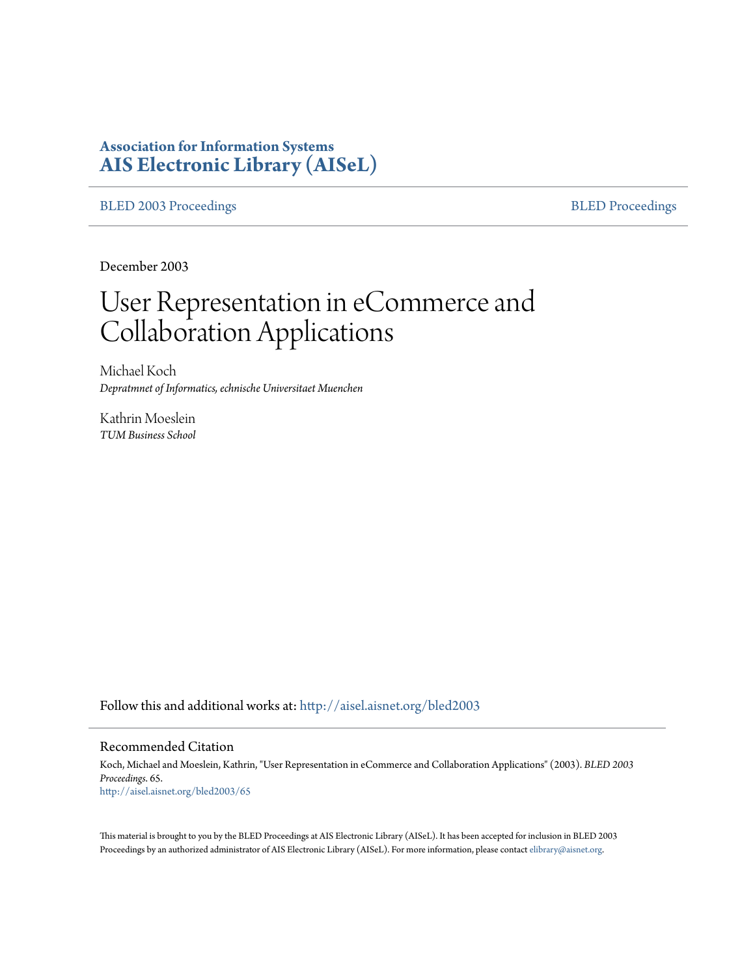# **Association for Information Systems [AIS Electronic Library \(AISeL\)](http://aisel.aisnet.org?utm_source=aisel.aisnet.org%2Fbled2003%2F65&utm_medium=PDF&utm_campaign=PDFCoverPages)**

[BLED 2003 Proceedings](http://aisel.aisnet.org/bled2003?utm_source=aisel.aisnet.org%2Fbled2003%2F65&utm_medium=PDF&utm_campaign=PDFCoverPages) **[BLED Proceedings](http://aisel.aisnet.org/bled?utm_source=aisel.aisnet.org%2Fbled2003%2F65&utm_medium=PDF&utm_campaign=PDFCoverPages)** 

December 2003

# User Representation in eCommerce and Collaboration Applications

Michael Koch *Depratmnet of Informatics, echnische Universitaet Muenchen*

Kathrin Moeslein *TUM Business School*

Follow this and additional works at: [http://aisel.aisnet.org/bled2003](http://aisel.aisnet.org/bled2003?utm_source=aisel.aisnet.org%2Fbled2003%2F65&utm_medium=PDF&utm_campaign=PDFCoverPages)

#### Recommended Citation

Koch, Michael and Moeslein, Kathrin, "User Representation in eCommerce and Collaboration Applications" (2003). *BLED 2003 Proceedings*. 65. [http://aisel.aisnet.org/bled2003/65](http://aisel.aisnet.org/bled2003/65?utm_source=aisel.aisnet.org%2Fbled2003%2F65&utm_medium=PDF&utm_campaign=PDFCoverPages)

This material is brought to you by the BLED Proceedings at AIS Electronic Library (AISeL). It has been accepted for inclusion in BLED 2003 Proceedings by an authorized administrator of AIS Electronic Library (AISeL). For more information, please contact [elibrary@aisnet.org](mailto:elibrary@aisnet.org%3E).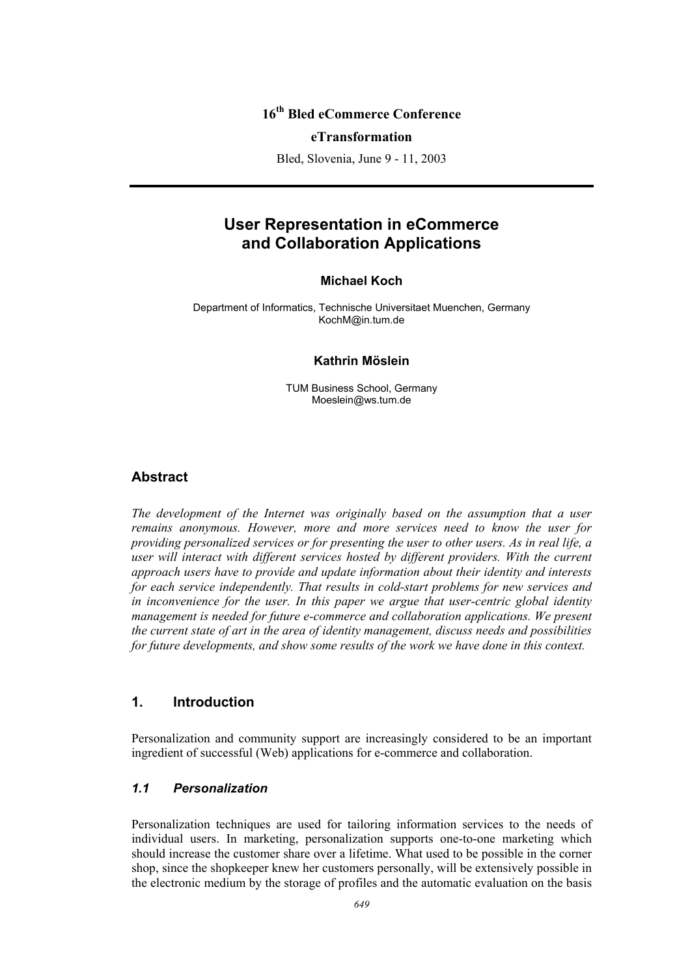## **16th Bled eCommerce Conference**

#### **eTransformation**

Bled, Slovenia, June 9 - 11, 2003

# **User Representation in eCommerce and Collaboration Applications**

#### **Michael Koch**

Department of Informatics, Technische Universitaet Muenchen, Germany KochM@in.tum.de

#### **Kathrin Möslein**

TUM Business School, Germany Moeslein@ws.tum.de

## **Abstract**

*The development of the Internet was originally based on the assumption that a user remains anonymous. However, more and more services need to know the user for providing personalized services or for presenting the user to other users. As in real life, a*  user will interact with different services hosted by different providers. With the current *approach users have to provide and update information about their identity and interests for each service independently. That results in cold-start problems for new services and in inconvenience for the user. In this paper we argue that user-centric global identity management is needed for future e-commerce and collaboration applications. We present the current state of art in the area of identity management, discuss needs and possibilities for future developments, and show some results of the work we have done in this context.* 

#### **1. Introduction**

Personalization and community support are increasingly considered to be an important ingredient of successful (Web) applications for e-commerce and collaboration.

#### *1.1 Personalization*

Personalization techniques are used for tailoring information services to the needs of individual users. In marketing, personalization supports one-to-one marketing which should increase the customer share over a lifetime. What used to be possible in the corner shop, since the shopkeeper knew her customers personally, will be extensively possible in the electronic medium by the storage of profiles and the automatic evaluation on the basis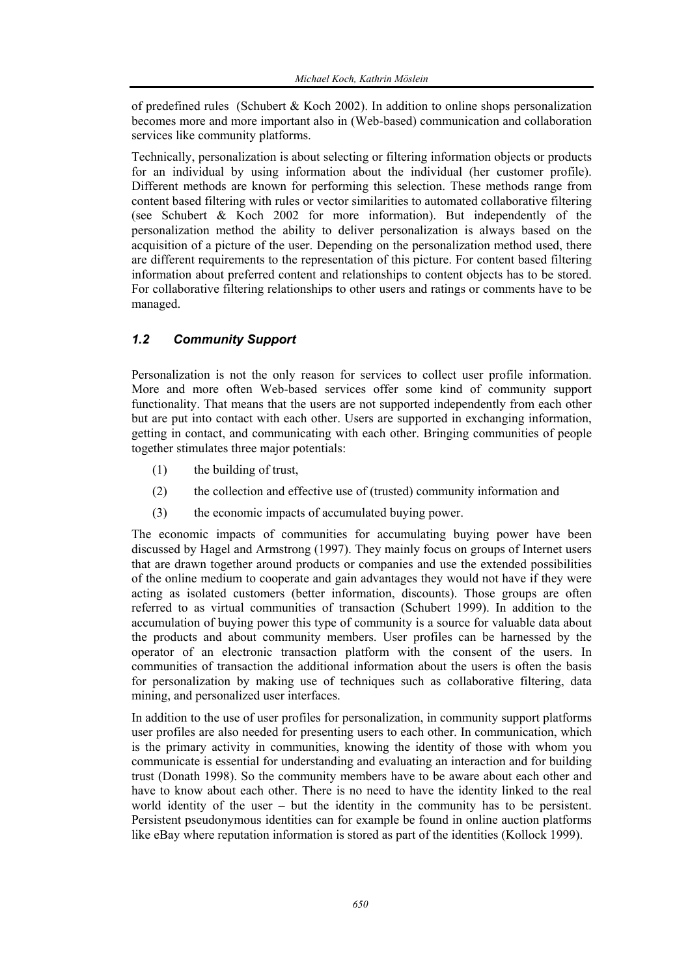of predefined rules (Schubert & Koch 2002). In addition to online shops personalization becomes more and more important also in (Web-based) communication and collaboration services like community platforms.

Technically, personalization is about selecting or filtering information objects or products for an individual by using information about the individual (her customer profile). Different methods are known for performing this selection. These methods range from content based filtering with rules or vector similarities to automated collaborative filtering (see Schubert & Koch 2002 for more information). But independently of the personalization method the ability to deliver personalization is always based on the acquisition of a picture of the user. Depending on the personalization method used, there are different requirements to the representation of this picture. For content based filtering information about preferred content and relationships to content objects has to be stored. For collaborative filtering relationships to other users and ratings or comments have to be managed.

## *1.2 Community Support*

Personalization is not the only reason for services to collect user profile information. More and more often Web-based services offer some kind of community support functionality. That means that the users are not supported independently from each other but are put into contact with each other. Users are supported in exchanging information, getting in contact, and communicating with each other. Bringing communities of people together stimulates three major potentials:

- (1) the building of trust,
- (2) the collection and effective use of (trusted) community information and
- (3) the economic impacts of accumulated buying power.

The economic impacts of communities for accumulating buying power have been discussed by Hagel and Armstrong (1997). They mainly focus on groups of Internet users that are drawn together around products or companies and use the extended possibilities of the online medium to cooperate and gain advantages they would not have if they were acting as isolated customers (better information, discounts). Those groups are often referred to as virtual communities of transaction (Schubert 1999). In addition to the accumulation of buying power this type of community is a source for valuable data about the products and about community members. User profiles can be harnessed by the operator of an electronic transaction platform with the consent of the users. In communities of transaction the additional information about the users is often the basis for personalization by making use of techniques such as collaborative filtering, data mining, and personalized user interfaces.

In addition to the use of user profiles for personalization, in community support platforms user profiles are also needed for presenting users to each other. In communication, which is the primary activity in communities, knowing the identity of those with whom you communicate is essential for understanding and evaluating an interaction and for building trust (Donath 1998). So the community members have to be aware about each other and have to know about each other. There is no need to have the identity linked to the real world identity of the user – but the identity in the community has to be persistent. Persistent pseudonymous identities can for example be found in online auction platforms like eBay where reputation information is stored as part of the identities (Kollock 1999).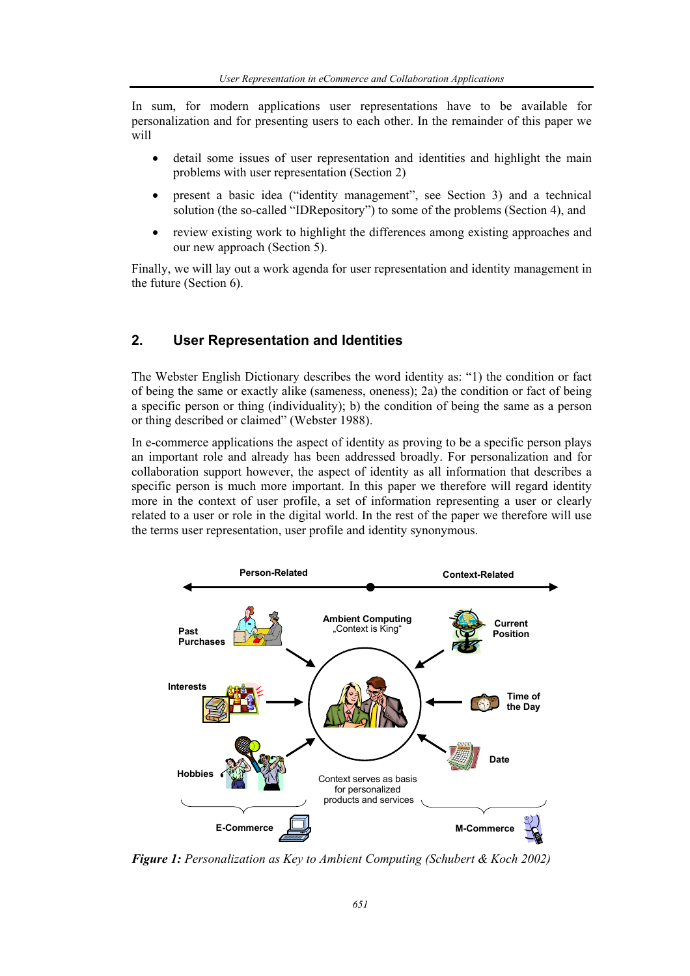In sum, for modern applications user representations have to be available for personalization and for presenting users to each other. In the remainder of this paper we will

- detail some issues of user representation and identities and highlight the main problems with user representation (Section 2)
- present a basic idea ("identity management", see Section 3) and a technical solution (the so-called "IDRepository") to some of the problems (Section 4), and
- review existing work to highlight the differences among existing approaches and our new approach (Section 5).

Finally, we will lay out a work agenda for user representation and identity management in the future (Section 6).

## **2. User Representation and Identities**

The Webster English Dictionary describes the word identity as: "1) the condition or fact of being the same or exactly alike (sameness, oneness); 2a) the condition or fact of being a specific person or thing (individuality); b) the condition of being the same as a person or thing described or claimed" (Webster 1988).

In e-commerce applications the aspect of identity as proving to be a specific person plays an important role and already has been addressed broadly. For personalization and for collaboration support however, the aspect of identity as all information that describes a specific person is much more important. In this paper we therefore will regard identity more in the context of user profile, a set of information representing a user or clearly related to a user or role in the digital world. In the rest of the paper we therefore will use the terms user representation, user profile and identity synonymous.



*Figure 1: Personalization as Key to Ambient Computing (Schubert & Koch 2002)*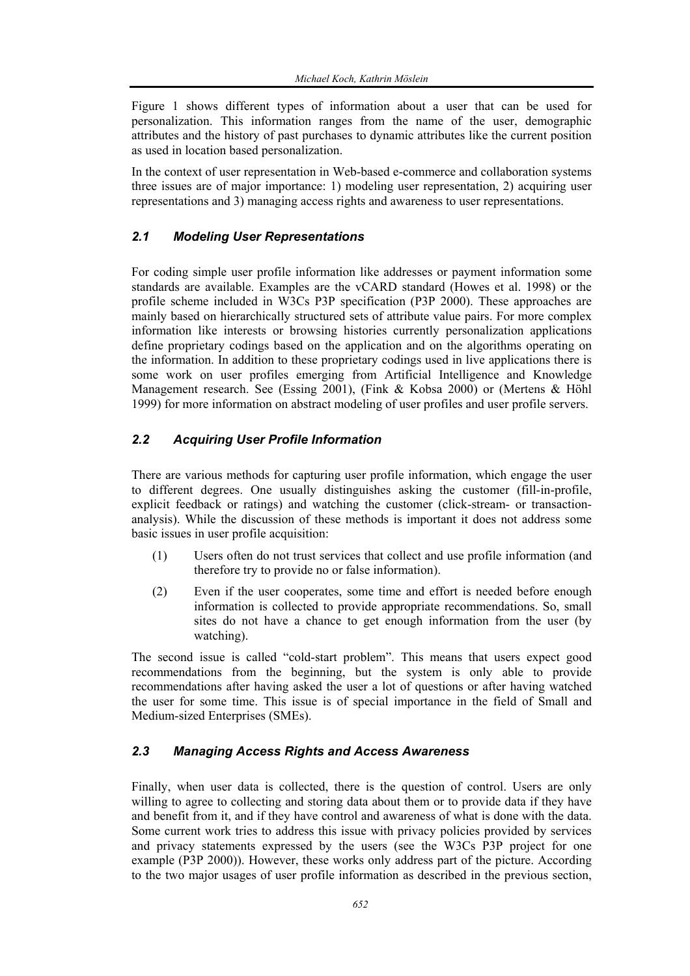Figure 1 shows different types of information about a user that can be used for personalization. This information ranges from the name of the user, demographic attributes and the history of past purchases to dynamic attributes like the current position as used in location based personalization.

In the context of user representation in Web-based e-commerce and collaboration systems three issues are of major importance: 1) modeling user representation, 2) acquiring user representations and 3) managing access rights and awareness to user representations.

## *2.1 Modeling User Representations*

For coding simple user profile information like addresses or payment information some standards are available. Examples are the vCARD standard (Howes et al. 1998) or the profile scheme included in W3Cs P3P specification (P3P 2000). These approaches are mainly based on hierarchically structured sets of attribute value pairs. For more complex information like interests or browsing histories currently personalization applications define proprietary codings based on the application and on the algorithms operating on the information. In addition to these proprietary codings used in live applications there is some work on user profiles emerging from Artificial Intelligence and Knowledge Management research. See (Essing 2001), (Fink & Kobsa 2000) or (Mertens & Höhl 1999) for more information on abstract modeling of user profiles and user profile servers.

#### *2.2 Acquiring User Profile Information*

There are various methods for capturing user profile information, which engage the user to different degrees. One usually distinguishes asking the customer (fill-in-profile, explicit feedback or ratings) and watching the customer (click-stream- or transactionanalysis). While the discussion of these methods is important it does not address some basic issues in user profile acquisition:

- (1) Users often do not trust services that collect and use profile information (and therefore try to provide no or false information).
- (2) Even if the user cooperates, some time and effort is needed before enough information is collected to provide appropriate recommendations. So, small sites do not have a chance to get enough information from the user (by watching).

The second issue is called "cold-start problem". This means that users expect good recommendations from the beginning, but the system is only able to provide recommendations after having asked the user a lot of questions or after having watched the user for some time. This issue is of special importance in the field of Small and Medium-sized Enterprises (SMEs).

#### *2.3 Managing Access Rights and Access Awareness*

Finally, when user data is collected, there is the question of control. Users are only willing to agree to collecting and storing data about them or to provide data if they have and benefit from it, and if they have control and awareness of what is done with the data. Some current work tries to address this issue with privacy policies provided by services and privacy statements expressed by the users (see the W3Cs P3P project for one example (P3P 2000)). However, these works only address part of the picture. According to the two major usages of user profile information as described in the previous section,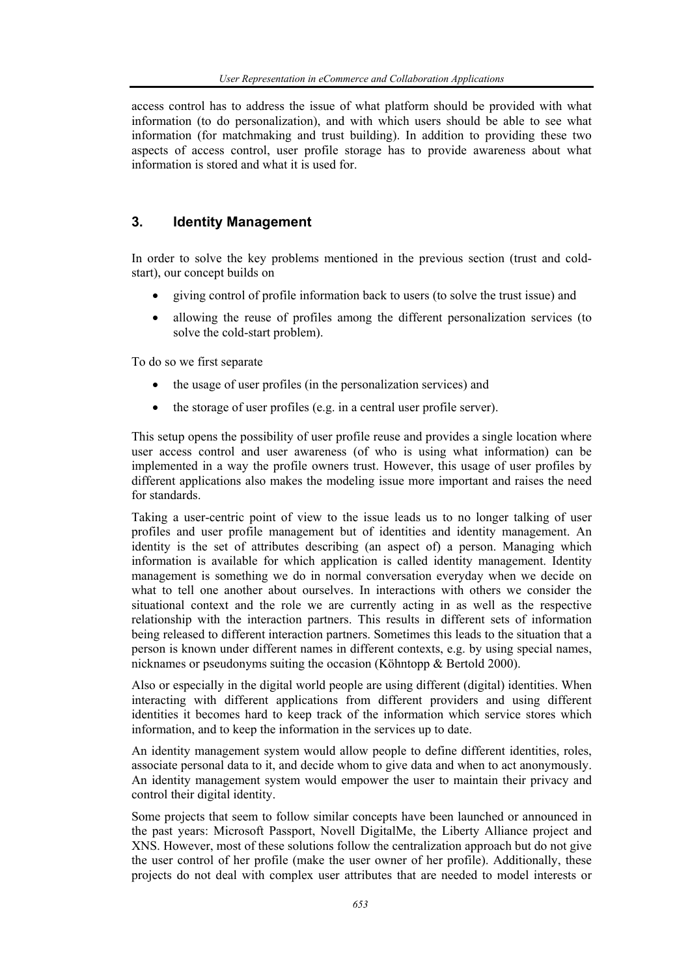access control has to address the issue of what platform should be provided with what information (to do personalization), and with which users should be able to see what information (for matchmaking and trust building). In addition to providing these two aspects of access control, user profile storage has to provide awareness about what information is stored and what it is used for.

## **3. Identity Management**

In order to solve the key problems mentioned in the previous section (trust and coldstart), our concept builds on

- giving control of profile information back to users (to solve the trust issue) and
- allowing the reuse of profiles among the different personalization services (to solve the cold-start problem).

To do so we first separate

- the usage of user profiles (in the personalization services) and
- the storage of user profiles (e.g. in a central user profile server).

This setup opens the possibility of user profile reuse and provides a single location where user access control and user awareness (of who is using what information) can be implemented in a way the profile owners trust. However, this usage of user profiles by different applications also makes the modeling issue more important and raises the need for standards.

Taking a user-centric point of view to the issue leads us to no longer talking of user profiles and user profile management but of identities and identity management. An identity is the set of attributes describing (an aspect of) a person. Managing which information is available for which application is called identity management. Identity management is something we do in normal conversation everyday when we decide on what to tell one another about ourselves. In interactions with others we consider the situational context and the role we are currently acting in as well as the respective relationship with the interaction partners. This results in different sets of information being released to different interaction partners. Sometimes this leads to the situation that a person is known under different names in different contexts, e.g. by using special names, nicknames or pseudonyms suiting the occasion (Köhntopp & Bertold 2000).

Also or especially in the digital world people are using different (digital) identities. When interacting with different applications from different providers and using different identities it becomes hard to keep track of the information which service stores which information, and to keep the information in the services up to date.

An identity management system would allow people to define different identities, roles, associate personal data to it, and decide whom to give data and when to act anonymously. An identity management system would empower the user to maintain their privacy and control their digital identity.

Some projects that seem to follow similar concepts have been launched or announced in the past years: Microsoft Passport, Novell DigitalMe, the Liberty Alliance project and XNS. However, most of these solutions follow the centralization approach but do not give the user control of her profile (make the user owner of her profile). Additionally, these projects do not deal with complex user attributes that are needed to model interests or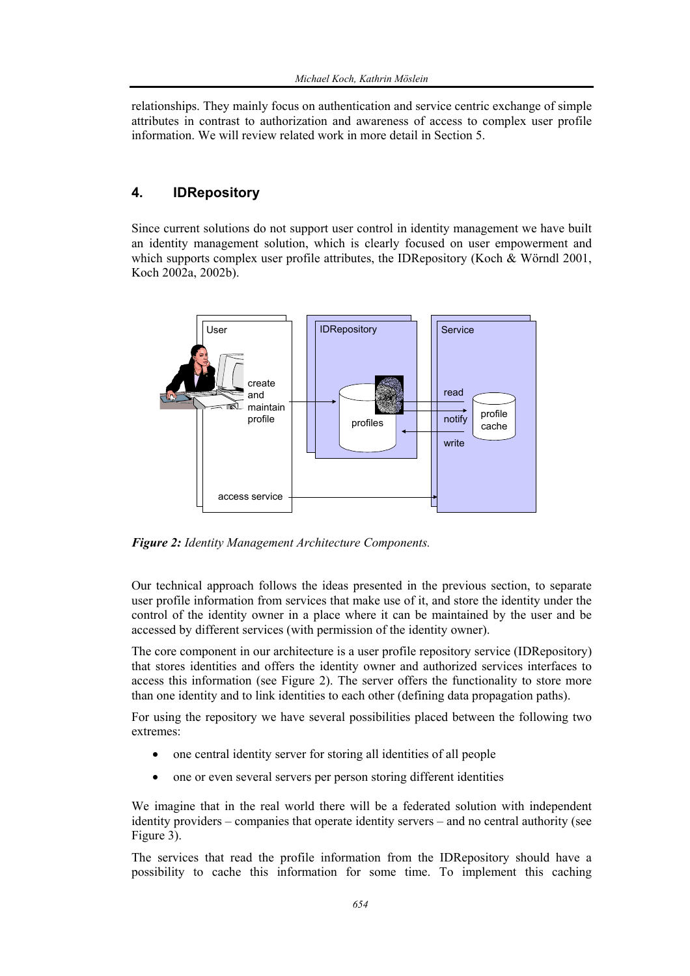relationships. They mainly focus on authentication and service centric exchange of simple attributes in contrast to authorization and awareness of access to complex user profile information. We will review related work in more detail in Section 5.

## **4. IDRepository**

Since current solutions do not support user control in identity management we have built an identity management solution, which is clearly focused on user empowerment and which supports complex user profile attributes, the IDRepository (Koch & Wörndl 2001, Koch 2002a, 2002b).



*Figure 2: Identity Management Architecture Components.* 

Our technical approach follows the ideas presented in the previous section, to separate user profile information from services that make use of it, and store the identity under the control of the identity owner in a place where it can be maintained by the user and be accessed by different services (with permission of the identity owner).

The core component in our architecture is a user profile repository service (IDRepository) that stores identities and offers the identity owner and authorized services interfaces to access this information (see Figure 2). The server offers the functionality to store more than one identity and to link identities to each other (defining data propagation paths).

For using the repository we have several possibilities placed between the following two extremes:

- one central identity server for storing all identities of all people
- one or even several servers per person storing different identities

We imagine that in the real world there will be a federated solution with independent identity providers – companies that operate identity servers – and no central authority (see Figure 3).

The services that read the profile information from the IDRepository should have a possibility to cache this information for some time. To implement this caching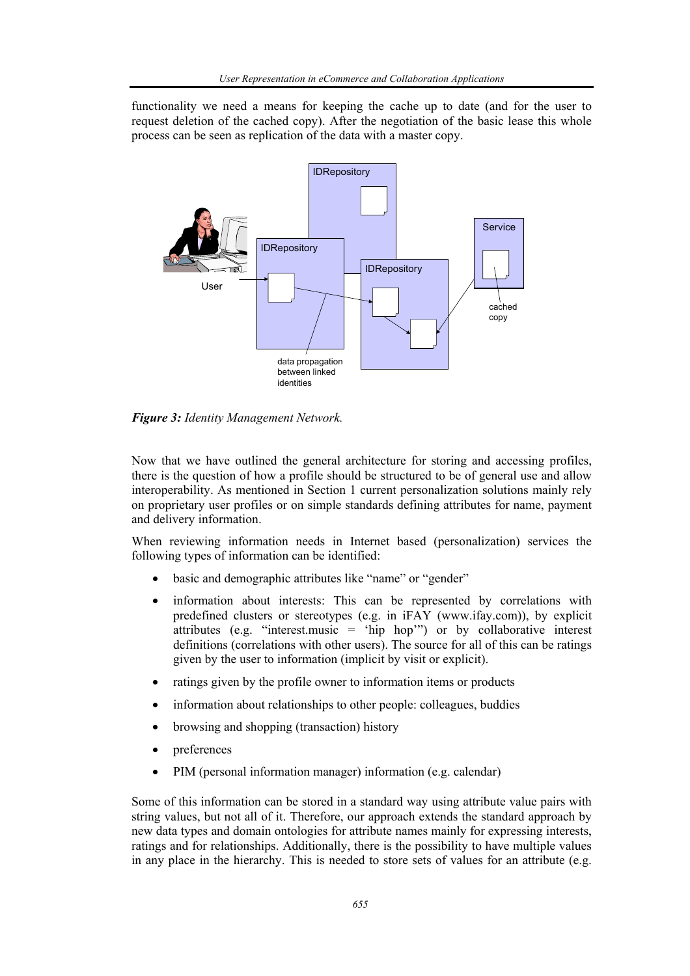functionality we need a means for keeping the cache up to date (and for the user to request deletion of the cached copy). After the negotiation of the basic lease this whole process can be seen as replication of the data with a master copy.



*Figure 3: Identity Management Network.* 

Now that we have outlined the general architecture for storing and accessing profiles, there is the question of how a profile should be structured to be of general use and allow interoperability. As mentioned in Section 1 current personalization solutions mainly rely on proprietary user profiles or on simple standards defining attributes for name, payment and delivery information.

When reviewing information needs in Internet based (personalization) services the following types of information can be identified:

- basic and demographic attributes like "name" or "gender"
- information about interests: This can be represented by correlations with predefined clusters or stereotypes (e.g. in iFAY (www.ifay.com)), by explicit attributes (e.g. "interest.music = 'hip hop'") or by collaborative interest definitions (correlations with other users). The source for all of this can be ratings given by the user to information (implicit by visit or explicit).
- ratings given by the profile owner to information items or products
- information about relationships to other people: colleagues, buddies
- browsing and shopping (transaction) history
- preferences
- PIM (personal information manager) information (e.g. calendar)

Some of this information can be stored in a standard way using attribute value pairs with string values, but not all of it. Therefore, our approach extends the standard approach by new data types and domain ontologies for attribute names mainly for expressing interests, ratings and for relationships. Additionally, there is the possibility to have multiple values in any place in the hierarchy. This is needed to store sets of values for an attribute (e.g.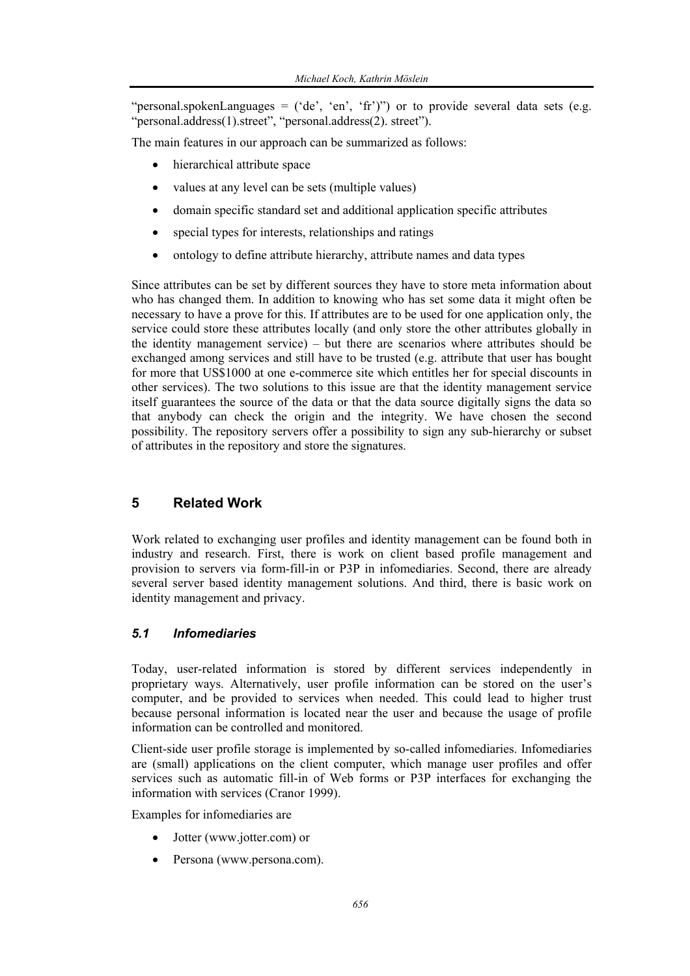"personal.spokenLanguages  $=$  ('de', 'en', 'fr')") or to provide several data sets (e.g. "personal.address(1).street", "personal.address(2). street").

The main features in our approach can be summarized as follows:

- hierarchical attribute space
- values at any level can be sets (multiple values)
- domain specific standard set and additional application specific attributes
- special types for interests, relationships and ratings
- ontology to define attribute hierarchy, attribute names and data types

Since attributes can be set by different sources they have to store meta information about who has changed them. In addition to knowing who has set some data it might often be necessary to have a prove for this. If attributes are to be used for one application only, the service could store these attributes locally (and only store the other attributes globally in the identity management service) – but there are scenarios where attributes should be exchanged among services and still have to be trusted (e.g. attribute that user has bought for more that US\$1000 at one e-commerce site which entitles her for special discounts in other services). The two solutions to this issue are that the identity management service itself guarantees the source of the data or that the data source digitally signs the data so that anybody can check the origin and the integrity. We have chosen the second possibility. The repository servers offer a possibility to sign any sub-hierarchy or subset of attributes in the repository and store the signatures.

## **5 Related Work**

Work related to exchanging user profiles and identity management can be found both in industry and research. First, there is work on client based profile management and provision to servers via form-fill-in or P3P in infomediaries. Second, there are already several server based identity management solutions. And third, there is basic work on identity management and privacy.

#### *5.1 Infomediaries*

Today, user-related information is stored by different services independently in proprietary ways. Alternatively, user profile information can be stored on the user's computer, and be provided to services when needed. This could lead to higher trust because personal information is located near the user and because the usage of profile information can be controlled and monitored.

Client-side user profile storage is implemented by so-called infomediaries. Infomediaries are (small) applications on the client computer, which manage user profiles and offer services such as automatic fill-in of Web forms or P3P interfaces for exchanging the information with services (Cranor 1999).

Examples for infomediaries are

- Jotter (www.jotter.com) or
- Persona (www.persona.com).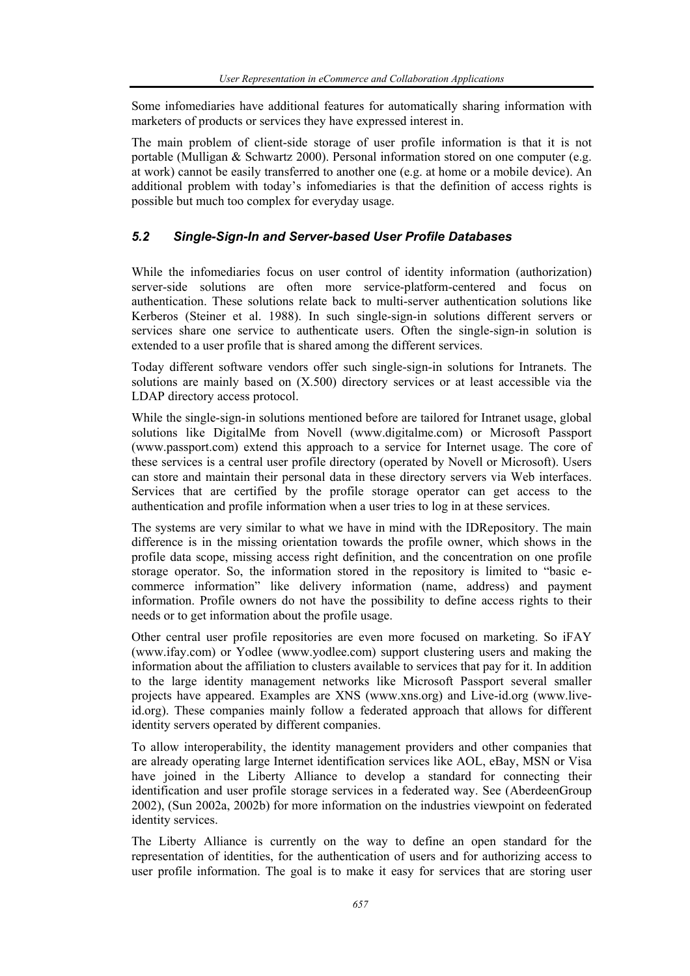Some infomediaries have additional features for automatically sharing information with marketers of products or services they have expressed interest in.

The main problem of client-side storage of user profile information is that it is not portable (Mulligan & Schwartz 2000). Personal information stored on one computer (e.g. at work) cannot be easily transferred to another one (e.g. at home or a mobile device). An additional problem with today's infomediaries is that the definition of access rights is possible but much too complex for everyday usage.

## *5.2 Single-Sign-In and Server-based User Profile Databases*

While the infomediaries focus on user control of identity information (authorization) server-side solutions are often more service-platform-centered and focus on authentication. These solutions relate back to multi-server authentication solutions like Kerberos (Steiner et al. 1988). In such single-sign-in solutions different servers or services share one service to authenticate users. Often the single-sign-in solution is extended to a user profile that is shared among the different services.

Today different software vendors offer such single-sign-in solutions for Intranets. The solutions are mainly based on (X.500) directory services or at least accessible via the LDAP directory access protocol.

While the single-sign-in solutions mentioned before are tailored for Intranet usage, global solutions like DigitalMe from Novell (www.digitalme.com) or Microsoft Passport (www.passport.com) extend this approach to a service for Internet usage. The core of these services is a central user profile directory (operated by Novell or Microsoft). Users can store and maintain their personal data in these directory servers via Web interfaces. Services that are certified by the profile storage operator can get access to the authentication and profile information when a user tries to log in at these services.

The systems are very similar to what we have in mind with the IDRepository. The main difference is in the missing orientation towards the profile owner, which shows in the profile data scope, missing access right definition, and the concentration on one profile storage operator. So, the information stored in the repository is limited to "basic ecommerce information" like delivery information (name, address) and payment information. Profile owners do not have the possibility to define access rights to their needs or to get information about the profile usage.

Other central user profile repositories are even more focused on marketing. So iFAY (www.ifay.com) or Yodlee (www.yodlee.com) support clustering users and making the information about the affiliation to clusters available to services that pay for it. In addition to the large identity management networks like Microsoft Passport several smaller projects have appeared. Examples are XNS (www.xns.org) and Live-id.org (www.liveid.org). These companies mainly follow a federated approach that allows for different identity servers operated by different companies.

To allow interoperability, the identity management providers and other companies that are already operating large Internet identification services like AOL, eBay, MSN or Visa have joined in the Liberty Alliance to develop a standard for connecting their identification and user profile storage services in a federated way. See (AberdeenGroup 2002), (Sun 2002a, 2002b) for more information on the industries viewpoint on federated identity services.

The Liberty Alliance is currently on the way to define an open standard for the representation of identities, for the authentication of users and for authorizing access to user profile information. The goal is to make it easy for services that are storing user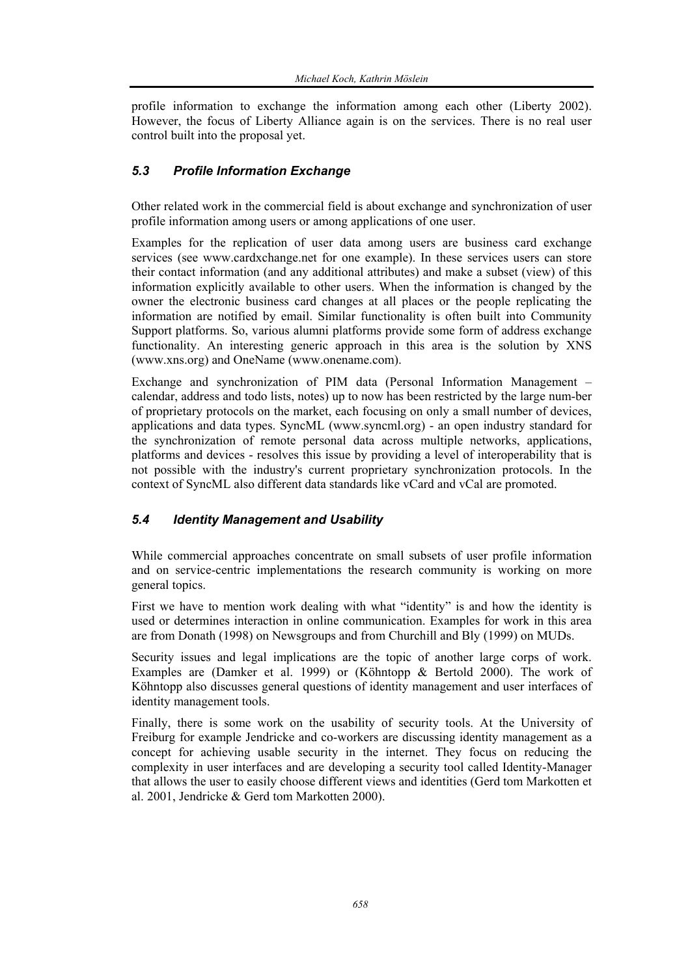profile information to exchange the information among each other (Liberty 2002). However, the focus of Liberty Alliance again is on the services. There is no real user control built into the proposal yet.

#### *5.3 Profile Information Exchange*

Other related work in the commercial field is about exchange and synchronization of user profile information among users or among applications of one user.

Examples for the replication of user data among users are business card exchange services (see www.cardxchange.net for one example). In these services users can store their contact information (and any additional attributes) and make a subset (view) of this information explicitly available to other users. When the information is changed by the owner the electronic business card changes at all places or the people replicating the information are notified by email. Similar functionality is often built into Community Support platforms. So, various alumni platforms provide some form of address exchange functionality. An interesting generic approach in this area is the solution by XNS (www.xns.org) and OneName (www.onename.com).

Exchange and synchronization of PIM data (Personal Information Management – calendar, address and todo lists, notes) up to now has been restricted by the large num-ber of proprietary protocols on the market, each focusing on only a small number of devices, applications and data types. SyncML (www.syncml.org) - an open industry standard for the synchronization of remote personal data across multiple networks, applications, platforms and devices - resolves this issue by providing a level of interoperability that is not possible with the industry's current proprietary synchronization protocols. In the context of SyncML also different data standards like vCard and vCal are promoted.

#### *5.4 Identity Management and Usability*

While commercial approaches concentrate on small subsets of user profile information and on service-centric implementations the research community is working on more general topics.

First we have to mention work dealing with what "identity" is and how the identity is used or determines interaction in online communication. Examples for work in this area are from Donath (1998) on Newsgroups and from Churchill and Bly (1999) on MUDs.

Security issues and legal implications are the topic of another large corps of work. Examples are (Damker et al. 1999) or (Köhntopp & Bertold 2000). The work of Köhntopp also discusses general questions of identity management and user interfaces of identity management tools.

Finally, there is some work on the usability of security tools. At the University of Freiburg for example Jendricke and co-workers are discussing identity management as a concept for achieving usable security in the internet. They focus on reducing the complexity in user interfaces and are developing a security tool called Identity-Manager that allows the user to easily choose different views and identities (Gerd tom Markotten et al. 2001, Jendricke & Gerd tom Markotten 2000).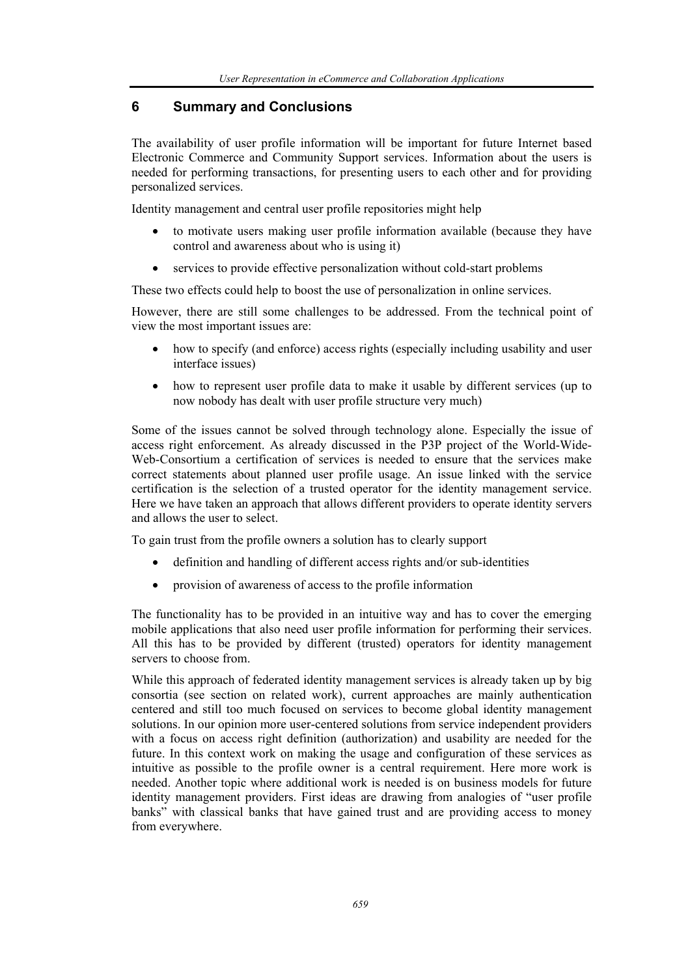## **6 Summary and Conclusions**

The availability of user profile information will be important for future Internet based Electronic Commerce and Community Support services. Information about the users is needed for performing transactions, for presenting users to each other and for providing personalized services.

Identity management and central user profile repositories might help

- to motivate users making user profile information available (because they have control and awareness about who is using it)
- services to provide effective personalization without cold-start problems

These two effects could help to boost the use of personalization in online services.

However, there are still some challenges to be addressed. From the technical point of view the most important issues are:

- how to specify (and enforce) access rights (especially including usability and user interface issues)
- how to represent user profile data to make it usable by different services (up to now nobody has dealt with user profile structure very much)

Some of the issues cannot be solved through technology alone. Especially the issue of access right enforcement. As already discussed in the P3P project of the World-Wide-Web-Consortium a certification of services is needed to ensure that the services make correct statements about planned user profile usage. An issue linked with the service certification is the selection of a trusted operator for the identity management service. Here we have taken an approach that allows different providers to operate identity servers and allows the user to select.

To gain trust from the profile owners a solution has to clearly support

- definition and handling of different access rights and/or sub-identities
- provision of awareness of access to the profile information

The functionality has to be provided in an intuitive way and has to cover the emerging mobile applications that also need user profile information for performing their services. All this has to be provided by different (trusted) operators for identity management servers to choose from.

While this approach of federated identity management services is already taken up by big consortia (see section on related work), current approaches are mainly authentication centered and still too much focused on services to become global identity management solutions. In our opinion more user-centered solutions from service independent providers with a focus on access right definition (authorization) and usability are needed for the future. In this context work on making the usage and configuration of these services as intuitive as possible to the profile owner is a central requirement. Here more work is needed. Another topic where additional work is needed is on business models for future identity management providers. First ideas are drawing from analogies of "user profile banks" with classical banks that have gained trust and are providing access to money from everywhere.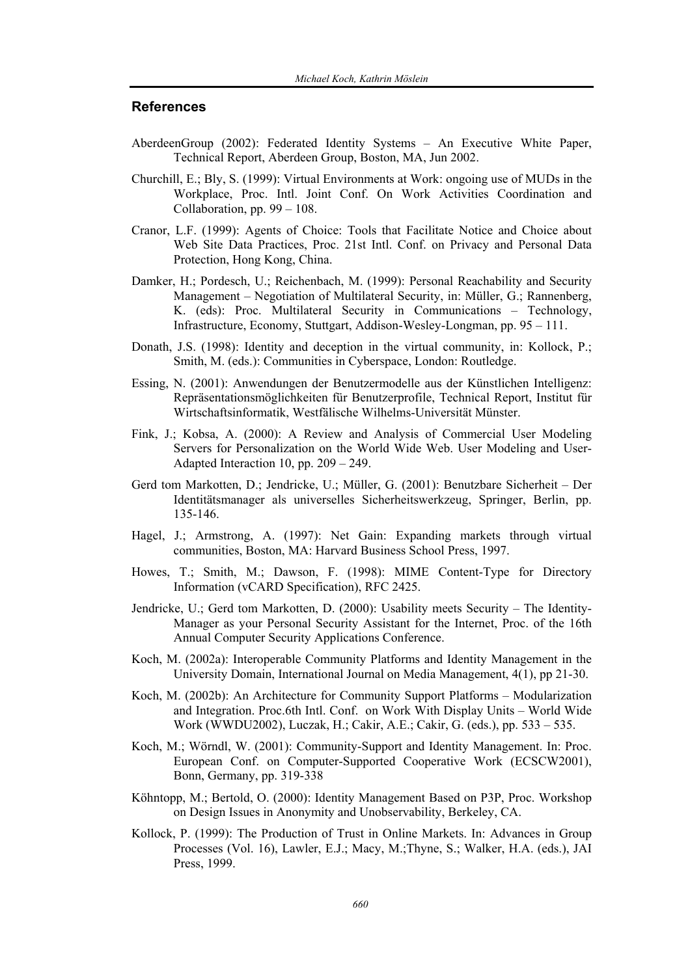#### **References**

- AberdeenGroup (2002): Federated Identity Systems An Executive White Paper, Technical Report, Aberdeen Group, Boston, MA, Jun 2002.
- Churchill, E.; Bly, S. (1999): Virtual Environments at Work: ongoing use of MUDs in the Workplace, Proc. Intl. Joint Conf. On Work Activities Coordination and Collaboration, pp. 99 – 108.
- Cranor, L.F. (1999): Agents of Choice: Tools that Facilitate Notice and Choice about Web Site Data Practices, Proc. 21st Intl. Conf. on Privacy and Personal Data Protection, Hong Kong, China.
- Damker, H.; Pordesch, U.; Reichenbach, M. (1999): Personal Reachability and Security Management – Negotiation of Multilateral Security, in: Müller, G.; Rannenberg, K. (eds): Proc. Multilateral Security in Communications – Technology, Infrastructure, Economy, Stuttgart, Addison-Wesley-Longman, pp. 95 – 111.
- Donath, J.S. (1998): Identity and deception in the virtual community, in: Kollock, P.; Smith, M. (eds.): Communities in Cyberspace, London: Routledge.
- Essing, N. (2001): Anwendungen der Benutzermodelle aus der Künstlichen Intelligenz: Repräsentationsmöglichkeiten für Benutzerprofile, Technical Report, Institut für Wirtschaftsinformatik, Westfälische Wilhelms-Universität Münster.
- Fink, J.; Kobsa, A. (2000): A Review and Analysis of Commercial User Modeling Servers for Personalization on the World Wide Web. User Modeling and User-Adapted Interaction 10, pp. 209 – 249.
- Gerd tom Markotten, D.; Jendricke, U.; Müller, G. (2001): Benutzbare Sicherheit Der Identitätsmanager als universelles Sicherheitswerkzeug, Springer, Berlin, pp. 135-146.
- Hagel, J.; Armstrong, A. (1997): Net Gain: Expanding markets through virtual communities, Boston, MA: Harvard Business School Press, 1997.
- Howes, T.; Smith, M.; Dawson, F. (1998): MIME Content-Type for Directory Information (vCARD Specification), RFC 2425.
- Jendricke, U.; Gerd tom Markotten, D. (2000): Usability meets Security The Identity-Manager as your Personal Security Assistant for the Internet, Proc. of the 16th Annual Computer Security Applications Conference.
- Koch, M. (2002a): Interoperable Community Platforms and Identity Management in the University Domain, International Journal on Media Management, 4(1), pp 21-30.
- Koch, M. (2002b): An Architecture for Community Support Platforms Modularization and Integration. Proc.6th Intl. Conf. on Work With Display Units – World Wide Work (WWDU2002), Luczak, H.; Cakir, A.E.; Cakir, G. (eds.), pp. 533 – 535.
- Koch, M.; Wörndl, W. (2001): Community-Support and Identity Management. In: Proc. European Conf. on Computer-Supported Cooperative Work (ECSCW2001), Bonn, Germany, pp. 319-338
- Köhntopp, M.; Bertold, O. (2000): Identity Management Based on P3P, Proc. Workshop on Design Issues in Anonymity and Unobservability, Berkeley, CA.
- Kollock, P. (1999): The Production of Trust in Online Markets. In: Advances in Group Processes (Vol. 16), Lawler, E.J.; Macy, M.;Thyne, S.; Walker, H.A. (eds.), JAI Press, 1999.